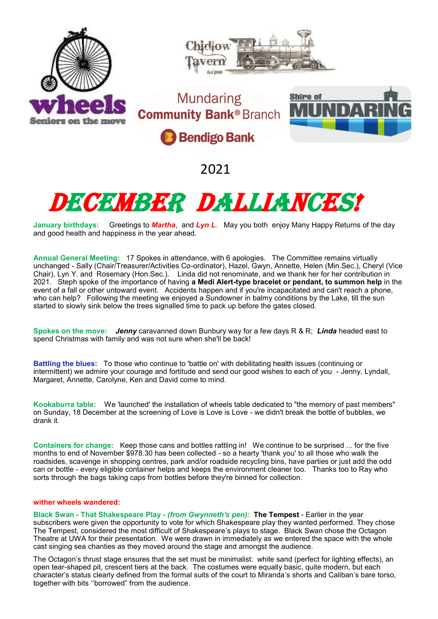

2021

## DECEMBER DALLIANCE

**January birthdays:** Greetings to *Martha*, and *Lyn L*. May you both enjoy Many Happy Returns of the day and good health and happiness in the year ahead.

**Annual General Meeting:** 17 Spokes in attendance, with 6 apologies. The Committee remains virtually unchanged - Sally (Chair/Treasurer/Activities Co-ordinator), Hazel, Gwyn, Annette, Helen (Min.Sec.), Cheryl (Vice Chair), Lyn Y. and Rosemary (Hon.Sec.). Linda did not renominate, and we thank her for her contribution in 2021. Steph spoke of the importance of having **a Medi Alert-type bracelet or pendant, to summon help** in the event of a fall or other untoward event. Accidents happen and if you're incapacitated and can't reach a phone, who can help? Following the meeting we enjoyed a Sundowner in balmy conditions by the Lake, till the sun started to slowly sink below the trees signalled time to pack up before the gates closed.

**Spokes on the move:** *Jenny* caravanned down Bunbury way for a few days R & R; *Linda* headed east to spend Christmas with family and was not sure when she'll be back!

**Battling the blues:** To those who continue to 'battle on' with debilitating health issues (continuing or intermittent) we admire your courage and fortitude and send our good wishes to each of you - Jenny, Lyndall, Margaret, Annette, Carolyne, Ken and David come to mind.

**Kookaburra table:** We 'launched' the installation of wheels table dedicated to "the memory of past members" on Sunday, 18 December at the screening of Love is Love is Love - we didn't break the bottle of bubbles, we drank it.

**Containers for change:** Keep those cans and bottles rattling in! We continue to be surprised ... for the five months to end of November \$978.30 has been collected - so a hearty 'thank you' to all those who walk the roadsides, scavenge in shopping centres, park and/or roadside recycling bins, have parties or just add the odd can or bottle - every eligible container helps and keeps the environment cleaner too. Thanks too to Ray who sorts through the bags taking caps from bottles before they're binned for collection.

## **wither wheels wandered:**

**Black Swan - That Shakespeare Play -** *(from Gwynneth's pen):* **The Tempest** - Earlier in the year subscribers were given the opportunity to vote for which Shakespeare play they wanted performed. They chose The Tempest, considered the most difficult of Shakespeare's plays to stage. Black Swan chose the Octagon Theatre at UWA for their presentation. We were drawn in immediately as we entered the space with the whole cast singing sea chanties as they moved around the stage and amongst the audience.

The Octagon's thrust stage ensures that the set must be minimalist: white sand (perfect for lighting effects), an open tear-shaped pit, crescent tiers at the back. The costumes were equally basic, quite modern, but each character's status clearly defined from the formal suits of the court to Miranda's shorts and Caliban's bare torso, together with bits ''borrowed" from the audience.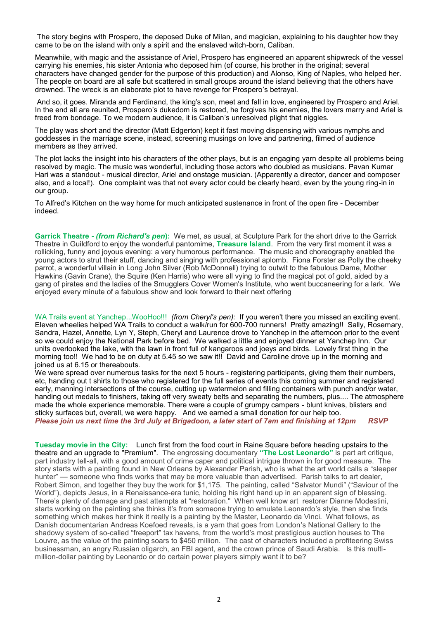The story begins with Prospero, the deposed Duke of Milan, and magician, explaining to his daughter how they came to be on the island with only a spirit and the enslaved witch-born, Caliban.

Meanwhile, with magic and the assistance of Ariel, Prospero has engineered an apparent shipwreck of the vessel carrying his enemies, his sister Antonia who deposed him (of course, his brother in the original; several characters have changed gender for the purpose of this production) and Alonso, King of Naples, who helped her. The people on board are all safe but scattered in small groups around the island believing that the others have drowned. The wreck is an elaborate plot to have revenge for Prospero's betrayal.

And so, it goes. Miranda and Ferdinand, the king's son, meet and fall in love, engineered by Prospero and Ariel. In the end all are reunited, Prospero's dukedom is restored, he forgives his enemies, the lovers marry and Ariel is freed from bondage. To we modern audience, it is Caliban's unresolved plight that niggles.

The play was short and the director (Matt Edgerton) kept it fast moving dispensing with various nymphs and goddesses in the marriage scene, instead, screening musings on love and partnering, filmed of audience members as they arrived.

The plot lacks the insight into his characters of the other plays, but is an engaging yarn despite all problems being resolved by magic. The music was wonderful, including those actors who doubled as musicians. Pavan Kumar Hari was a standout - musical director, Ariel and onstage musician. (Apparently a director, dancer and composer also, and a local!). One complaint was that not every actor could be clearly heard, even by the young ring-in in our group.

To Alfred's Kitchen on the way home for much anticipated sustenance in front of the open fire - December indeed.

**Garrick Theatre -** *(from Richard's pen***):** We met, as usual, at Sculpture Park for the short drive to the Garrick Theatre in Guildford to enjoy the wonderful pantomime, **Treasure Island**. From the very first moment it was a rollicking, funny and joyous evening: a very humorous performance. The music and choreography enabled the young actors to strut their stuff, dancing and singing with professional aplomb. Fiona Forster as Polly the cheeky parrot, a wonderful villain in Long John Silver (Rob McDonnell) trying to outwit to the fabulous Dame, Mother Hawkins (Gavin Crane), the Squire (Ken Harris) who were all vying to find the magical pot of gold, aided by a gang of pirates and the ladies of the Smugglers Cover Women's Institute, who went buccaneering for a lark. We enjoyed every minute of a fabulous show and look forward to their next offering

WA Trails event at Yanchep...WooHoo!!! *(from Cheryl's pen):* If you weren't there you missed an exciting event. Eleven wheelies helped WA Trails to conduct a walk/run for 600-700 runners! Pretty amazing!! Sally, Rosemary, Sandra, Hazel, Annette, Lyn Y, Steph, Cheryl and Laurence drove to Yanchep in the afternoon prior to the event so we could enjoy the National Park before bed. We walked a little and enjoyed dinner at Yanchep Inn. Our units overlooked the lake, with the lawn in front full of kangaroos and joeys and birds. Lovely first thing in the morning too!! We had to be on duty at 5.45 so we saw it!! David and Caroline drove up in the morning and joined us at 6.15 or thereabouts.

We were spread over numerous tasks for the next 5 hours - registering participants, giving them their numbers, etc, handing out t shirts to those who registered for the full series of events this coming summer and registered early, manning intersections of the course, cutting up watermelon and filling containers with punch and/or water, handing out medals to finishers, taking off very sweaty belts and separating the numbers, plus.... The atmosphere made the whole experience memorable. There were a couple of grumpy campers - blunt knives, blisters and sticky surfaces but, overall, we were happy. And we earned a small donation for our help too. *Please join us next time the 3rd July at Brigadoon, a later start of 7am and finishing at 12pm RSVP*

**Tuesday movie in the City:** Lunch first from the food court in Raine Square before heading upstairs to the theatre and an upgrade to "Premium". The engrossing documentary **"The Lost Leonardo"** is part art critique, part industry tell-all, with a good amount of crime caper and political intrigue thrown in for good measure. The story starts with a painting found in New Orleans by Alexander Parish, who is what the art world calls a "sleeper hunter" — someone who finds works that may be more valuable than advertised. Parish talks to art dealer, Robert Simon, and together they buy the work for \$1,175. The painting, called "Salvator Mundi" ("Saviour of the World"), depicts Jesus, in a Renaissance-era tunic, holding his right hand up in an apparent sign of blessing. There's plenty of damage and past attempts at "restoration." When well know art restorer Dianne Modestini, starts working on the painting she thinks it's from someone trying to emulate Leonardo's style, then she finds something which makes her think it really is a painting by the Master, Leonardo da Vinci. What follows, as Danish documentarian Andreas Koefoed reveals, is a yarn that goes from London's National Gallery to the shadowy system of so-called "freeport" tax havens, from the world's most prestigious auction houses to The Louvre, as the value of the painting soars to \$450 million. The cast of characters included a profiteering Swiss businessman, an angry Russian oligarch, an FBI agent, and the crown prince of Saudi Arabia. Is this multimillion-dollar painting by Leonardo or do certain power players simply want it to be?